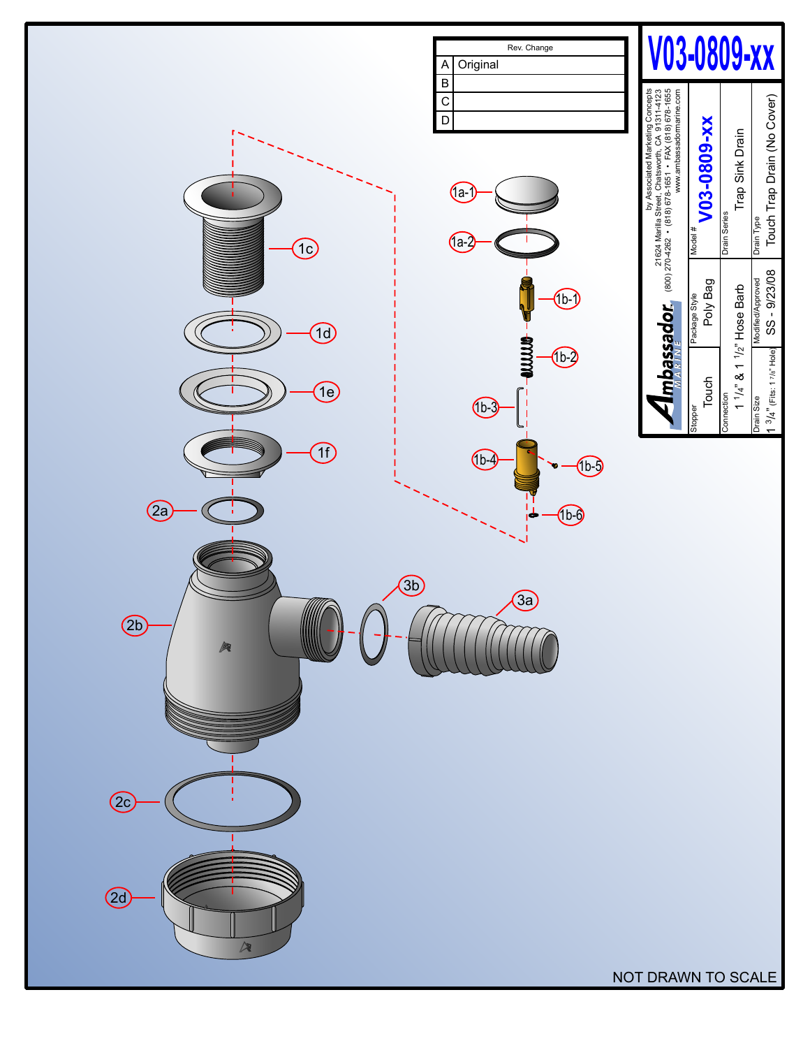